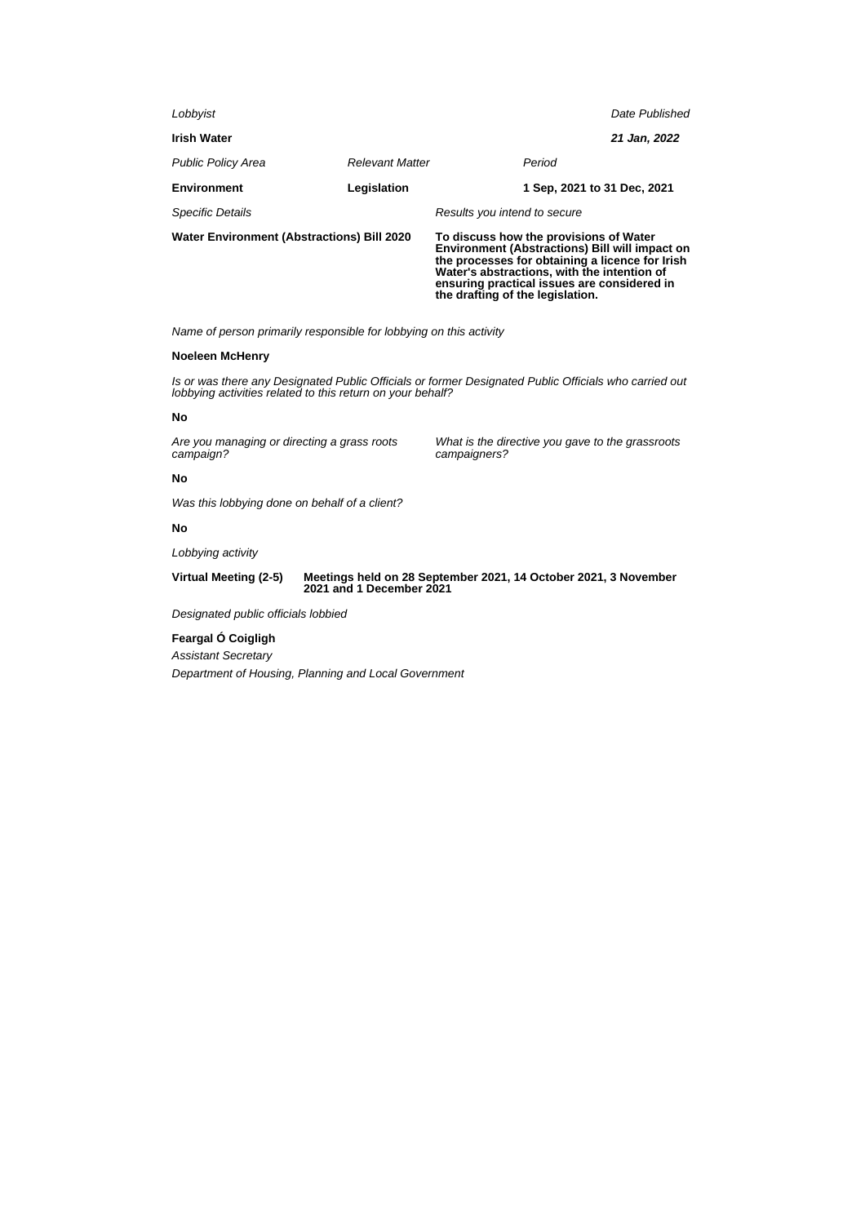| <b>Water Environment (Abstractions) Bill 2020</b> |                        | To discuss how the provisions of Water<br><b>Environment (Abstractions) Bill will impact on</b><br>the processes for obtaining a licence for Irish<br>Water's abstractions, with the intention of<br>ensuring practical issues are considered in<br>the drafting of the legislation. |  |  |
|---------------------------------------------------|------------------------|--------------------------------------------------------------------------------------------------------------------------------------------------------------------------------------------------------------------------------------------------------------------------------------|--|--|
| <b>Specific Details</b>                           |                        | Results you intend to secure                                                                                                                                                                                                                                                         |  |  |
| <b>Environment</b>                                | Legislation            | 1 Sep. 2021 to 31 Dec. 2021                                                                                                                                                                                                                                                          |  |  |
| <b>Public Policy Area</b>                         | <b>Relevant Matter</b> | Period                                                                                                                                                                                                                                                                               |  |  |
| <b>Irish Water</b>                                |                        | 21 Jan, 2022                                                                                                                                                                                                                                                                         |  |  |
| Lobbyist                                          |                        | Date Published                                                                                                                                                                                                                                                                       |  |  |
|                                                   |                        |                                                                                                                                                                                                                                                                                      |  |  |

# **Noeleen McHenry**

Is or was there any Designated Public Officials or former Designated Public Officials who carried out lobbying activities related to this return on your behalf?

# **No**

Are you managing or directing a grass roots campaign?

What is the directive you gave to the grassroots campaigners?

# **No**

Was this lobbying done on behalf of a client?

# **No**

Lobbying activity

**Virtual Meeting (2-5) Meetings held on 28 September 2021, 14 October 2021, 3 November 2021 and 1 December 2021**

Designated public officials lobbied

# **Feargal Ó Coigligh**

Assistant Secretary

Department of Housing, Planning and Local Government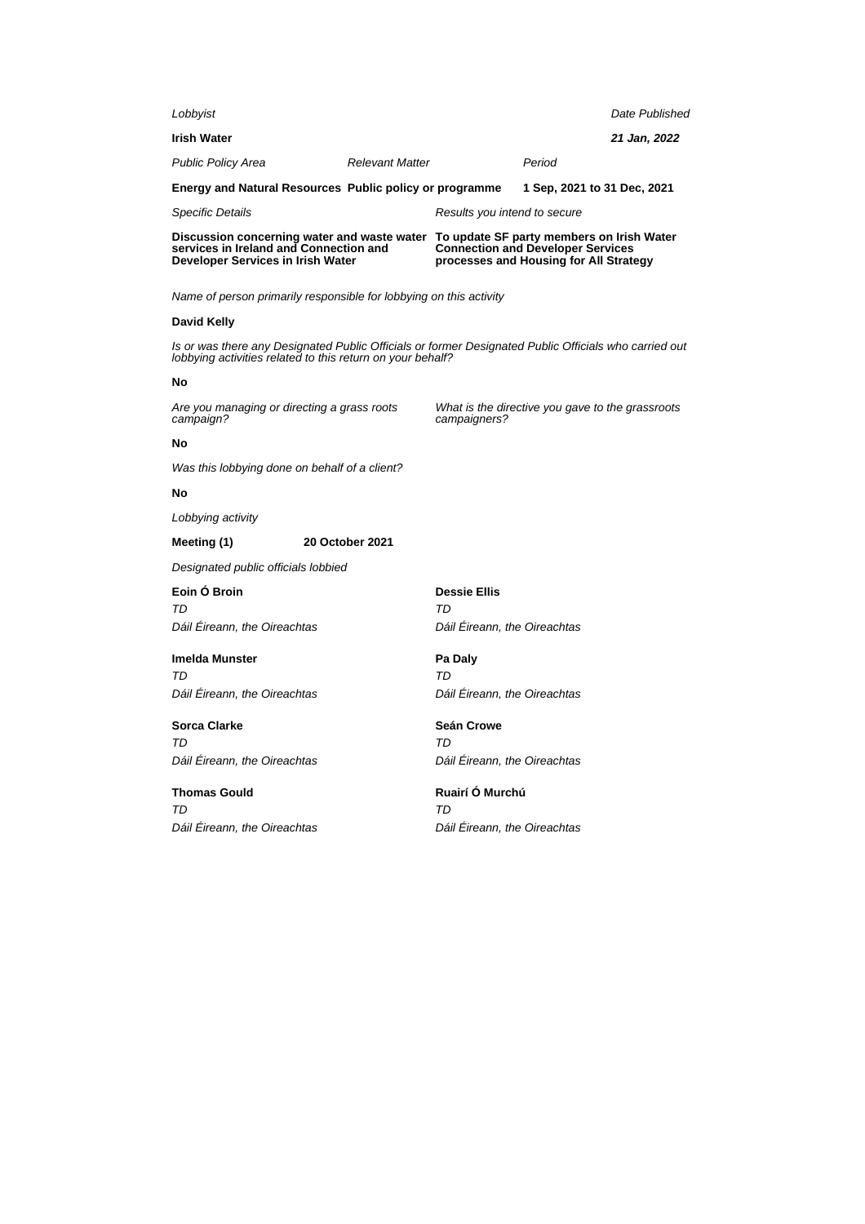| Lobbyist                                                                                                                                                             |                        |                                                       |                                                                                    | Date Published |
|----------------------------------------------------------------------------------------------------------------------------------------------------------------------|------------------------|-------------------------------------------------------|------------------------------------------------------------------------------------|----------------|
| <b>Irish Water</b>                                                                                                                                                   |                        |                                                       |                                                                                    | 21 Jan, 2022   |
| Public Policy Area                                                                                                                                                   | <b>Relevant Matter</b> |                                                       | Period                                                                             |                |
| Energy and Natural Resources Public policy or programme                                                                                                              |                        |                                                       | 1 Sep, 2021 to 31 Dec, 2021                                                        |                |
| Specific Details                                                                                                                                                     |                        | Results you intend to secure                          |                                                                                    |                |
| Discussion concerning water and waste water To update SF party members on Irish Water<br>services in Ireland and Connection and<br>Developer Services in Irish Water |                        |                                                       | <b>Connection and Developer Services</b><br>processes and Housing for All Strategy |                |
| Name of person primarily responsible for lobbying on this activity                                                                                                   |                        |                                                       |                                                                                    |                |
| David Kelly                                                                                                                                                          |                        |                                                       |                                                                                    |                |
| Is or was there any Designated Public Officials or former Designated Public Officials who carried out<br>lobbying activities related to this return on your behalf?  |                        |                                                       |                                                                                    |                |
| No                                                                                                                                                                   |                        |                                                       |                                                                                    |                |
| Are you managing or directing a grass roots<br>campaign?                                                                                                             |                        | campaigners?                                          | What is the directive you gave to the grassroots                                   |                |
| No                                                                                                                                                                   |                        |                                                       |                                                                                    |                |
| Was this lobbying done on behalf of a client?                                                                                                                        |                        |                                                       |                                                                                    |                |
| No                                                                                                                                                                   |                        |                                                       |                                                                                    |                |
| Lobbying activity                                                                                                                                                    |                        |                                                       |                                                                                    |                |
| Meeting (1)<br><b>20 October 2021</b>                                                                                                                                |                        |                                                       |                                                                                    |                |
| Designated public officials lobbied                                                                                                                                  |                        |                                                       |                                                                                    |                |
| Eoin O Broin                                                                                                                                                         |                        | <b>Dessie Ellis</b>                                   |                                                                                    |                |
| TD<br>Dáil Eireann, the Oireachtas                                                                                                                                   |                        | TD<br>Dáil Eireann, the Oireachtas                    |                                                                                    |                |
| <b>Imelda Munster</b>                                                                                                                                                |                        |                                                       |                                                                                    |                |
| TD                                                                                                                                                                   |                        | Pa Daly<br>TD                                         |                                                                                    |                |
| Dáil Eireann, the Oireachtas                                                                                                                                         |                        | Dáil Eireann, the Oireachtas                          |                                                                                    |                |
| Sorca Clarke                                                                                                                                                         |                        | Seán Crowe                                            |                                                                                    |                |
| TD<br>Dáil Éireann, the Oireachtas                                                                                                                                   |                        | TD<br>Dáil Éireann, the Oireachtas                    |                                                                                    |                |
| <b>Thomas Gould</b><br>TD<br>Dáil Éireann, the Oireachtas                                                                                                            |                        | Ruairí Ó Murchú<br>TD<br>Dáil Éireann, the Oireachtas |                                                                                    |                |
|                                                                                                                                                                      |                        |                                                       |                                                                                    |                |
|                                                                                                                                                                      |                        |                                                       |                                                                                    |                |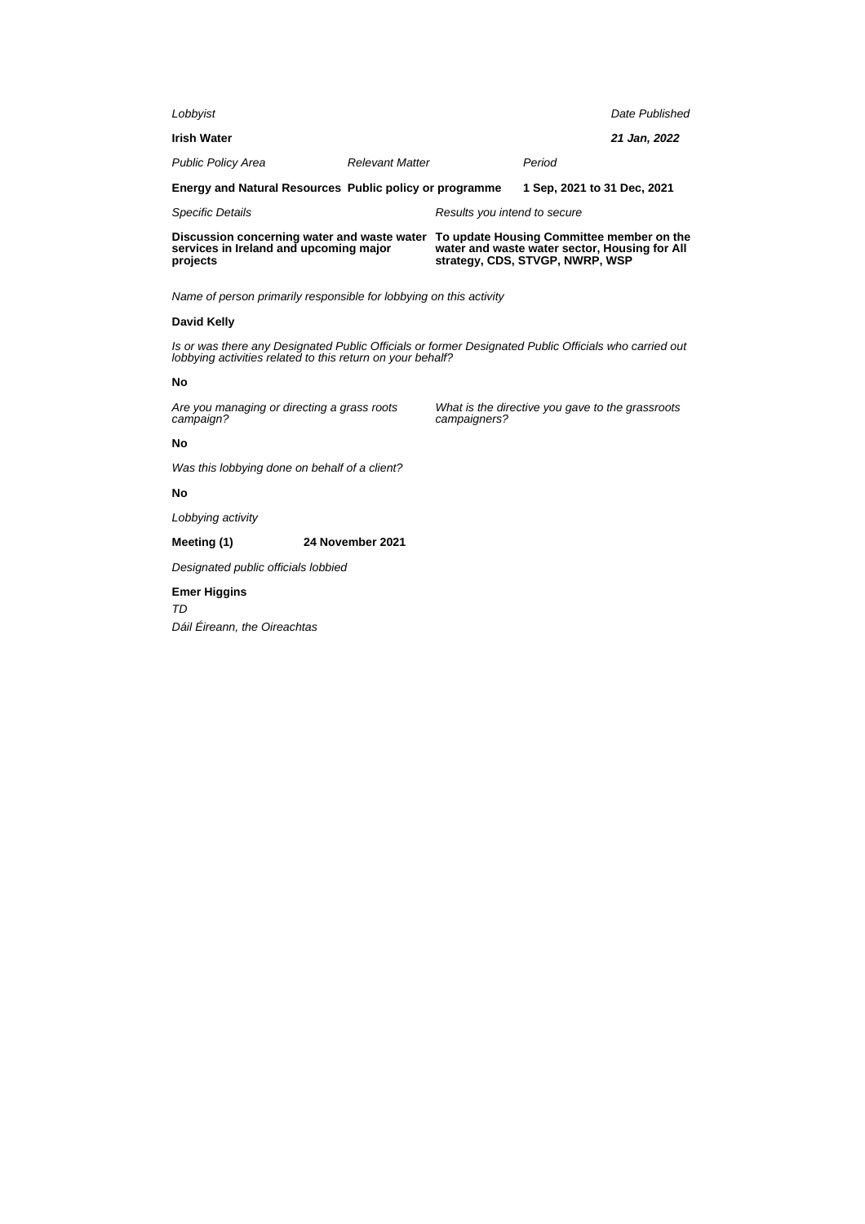| Lobbyist                                                                              |                        |                                                                                            |                             | Date Published |
|---------------------------------------------------------------------------------------|------------------------|--------------------------------------------------------------------------------------------|-----------------------------|----------------|
| <b>Irish Water</b>                                                                    |                        |                                                                                            |                             | 21 Jan, 2022   |
| <b>Public Policy Area</b>                                                             | <b>Relevant Matter</b> |                                                                                            | Period                      |                |
| Energy and Natural Resources Public policy or programme                               |                        |                                                                                            | 1 Sep. 2021 to 31 Dec. 2021 |                |
| <b>Specific Details</b>                                                               |                        | Results you intend to secure                                                               |                             |                |
| Discussion concerning water and waste water<br>services in Ireland and upcoming major |                        | To update Housing Committee member on the<br>water and waste water sector, Housing for All |                             |                |

# **David Kelly**

**projects**

Is or was there any Designated Public Officials or former Designated Public Officials who carried out lobbying activities related to this return on your behalf?

### **No**

Are you managing or directing a grass roots campaign?

What is the directive you gave to the grassroots campaigners?

**strategy, CDS, STVGP, NWRP, WSP**

# **No**

Was this lobbying done on behalf of a client?

# **No**

Lobbying activity

# **Meeting (1) 24 November 2021**

Designated public officials lobbied

# **Emer Higgins** TD

Dáil Éireann, the Oireachtas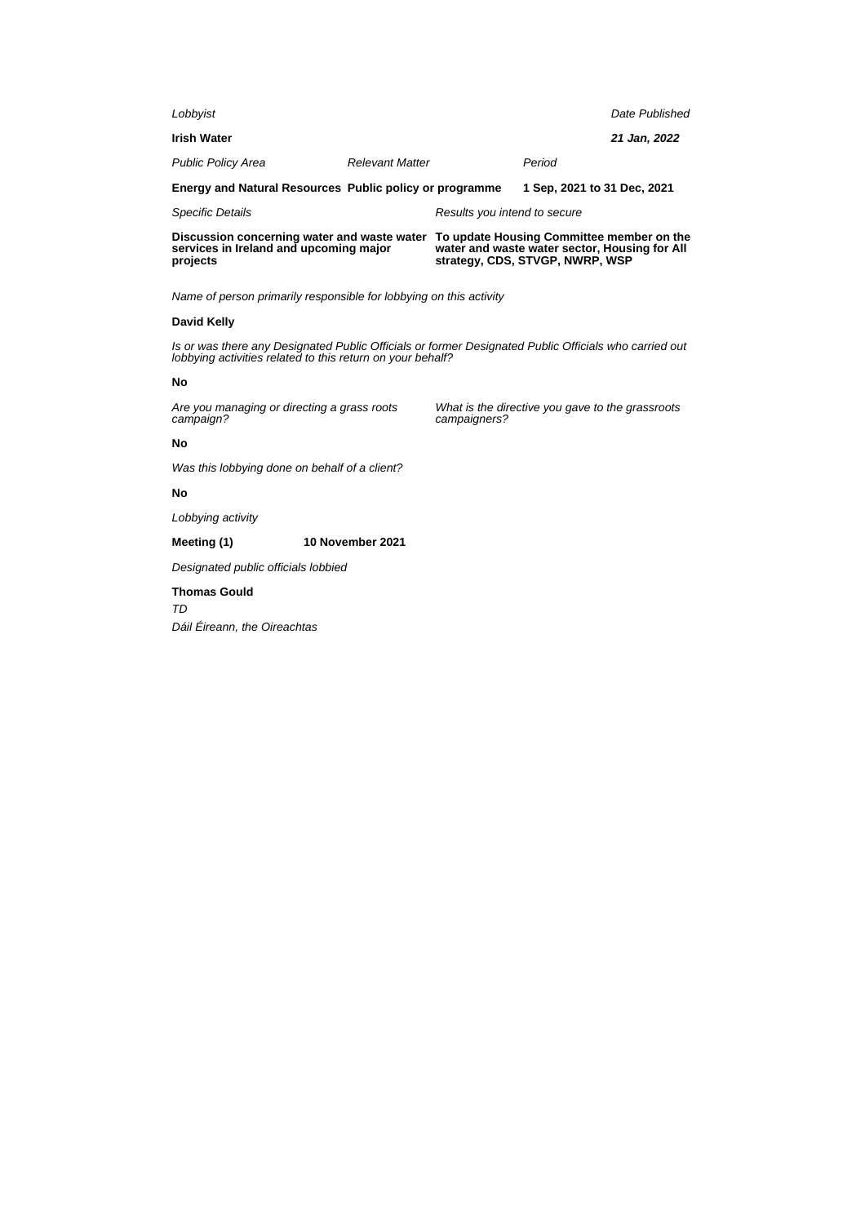| Lobbyist                                                                              |                        |                                                                                            |                             | Date Published |
|---------------------------------------------------------------------------------------|------------------------|--------------------------------------------------------------------------------------------|-----------------------------|----------------|
| <b>Irish Water</b>                                                                    |                        |                                                                                            |                             | 21 Jan, 2022   |
| <b>Public Policy Area</b>                                                             | <b>Relevant Matter</b> |                                                                                            | Period                      |                |
| Energy and Natural Resources Public policy or programme                               |                        |                                                                                            | 1 Sep. 2021 to 31 Dec. 2021 |                |
| <b>Specific Details</b>                                                               |                        | Results you intend to secure                                                               |                             |                |
| Discussion concerning water and waste water<br>services in Ireland and upcoming major |                        | To update Housing Committee member on the<br>water and waste water sector, Housing for All |                             |                |

# **David Kelly**

**projects**

Is or was there any Designated Public Officials or former Designated Public Officials who carried out lobbying activities related to this return on your behalf?

### **No**

Are you managing or directing a grass roots campaign?

What is the directive you gave to the grassroots campaigners?

**strategy, CDS, STVGP, NWRP, WSP**

# **No**

Was this lobbying done on behalf of a client?

# **No**

Lobbying activity

# **Meeting (1) 10 November 2021**

Designated public officials lobbied

# **Thomas Gould** TD Dáil Éireann, the Oireachtas